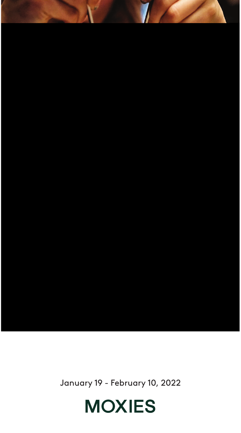